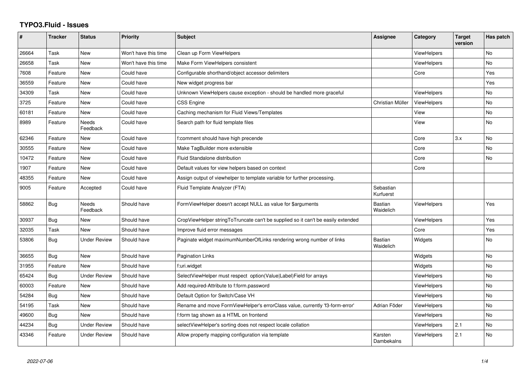## **TYPO3.Fluid - Issues**

| #     | <b>Tracker</b> | <b>Status</b>            | <b>Priority</b>      | <b>Subject</b>                                                                   | Assignee                    | Category           | <b>Target</b><br>version | Has patch |
|-------|----------------|--------------------------|----------------------|----------------------------------------------------------------------------------|-----------------------------|--------------------|--------------------------|-----------|
| 26664 | Task           | <b>New</b>               | Won't have this time | Clean up Form ViewHelpers                                                        |                             | ViewHelpers        |                          | <b>No</b> |
| 26658 | Task           | New                      | Won't have this time | Make Form ViewHelpers consistent                                                 |                             | <b>ViewHelpers</b> |                          | No        |
| 7608  | Feature        | New                      | Could have           | Configurable shorthand/object accessor delimiters                                |                             | Core               |                          | Yes       |
| 36559 | Feature        | New                      | Could have           | New widget progress bar                                                          |                             |                    |                          | Yes       |
| 34309 | Task           | <b>New</b>               | Could have           | Unknown ViewHelpers cause exception - should be handled more graceful            |                             | <b>ViewHelpers</b> |                          | No        |
| 3725  | Feature        | New                      | Could have           | CSS Engine                                                                       | Christian Müller            | <b>ViewHelpers</b> |                          | No        |
| 60181 | Feature        | <b>New</b>               | Could have           | Caching mechanism for Fluid Views/Templates                                      |                             | View               |                          | <b>No</b> |
| 8989  | Feature        | Needs<br>Feedback        | Could have           | Search path for fluid template files                                             |                             | View               |                          | <b>No</b> |
| 62346 | Feature        | New                      | Could have           | f:comment should have high precende                                              |                             | Core               | 3.x                      | No        |
| 30555 | Feature        | <b>New</b>               | Could have           | Make TagBuilder more extensible                                                  |                             | Core               |                          | <b>No</b> |
| 10472 | Feature        | New                      | Could have           | <b>Fluid Standalone distribution</b>                                             |                             | Core               |                          | No        |
| 1907  | Feature        | New                      | Could have           | Default values for view helpers based on context                                 |                             | Core               |                          |           |
| 48355 | Feature        | New                      | Could have           | Assign output of viewhelper to template variable for further processing.         |                             |                    |                          |           |
| 9005  | Feature        | Accepted                 | Could have           | Fluid Template Analyzer (FTA)                                                    | Sebastian<br>Kurfuerst      |                    |                          |           |
| 58862 | Bug            | <b>Needs</b><br>Feedback | Should have          | FormViewHelper doesn't accept NULL as value for \$arguments                      | Bastian<br>Waidelich        | <b>ViewHelpers</b> |                          | Yes       |
| 30937 | <b>Bug</b>     | <b>New</b>               | Should have          | CropViewHelper stringToTruncate can't be supplied so it can't be easily extended |                             | <b>ViewHelpers</b> |                          | Yes       |
| 32035 | Task           | New                      | Should have          | Improve fluid error messages                                                     |                             | Core               |                          | Yes       |
| 53806 | <b>Bug</b>     | <b>Under Review</b>      | Should have          | Paginate widget maximumNumberOfLinks rendering wrong number of links             | <b>Bastian</b><br>Waidelich | Widgets            |                          | <b>No</b> |
| 36655 | Bug            | New                      | Should have          | <b>Pagination Links</b>                                                          |                             | Widgets            |                          | <b>No</b> |
| 31955 | Feature        | New                      | Should have          | f:uri.widget                                                                     |                             | Widgets            |                          | No        |
| 65424 | Bug            | <b>Under Review</b>      | Should have          | SelectViewHelper must respect option(Value Label)Field for arrays                |                             | <b>ViewHelpers</b> |                          | <b>No</b> |
| 60003 | Feature        | New                      | Should have          | Add required-Attribute to f:form.password                                        |                             | ViewHelpers        |                          | No        |
| 54284 | Bug            | New                      | Should have          | Default Option for Switch/Case VH                                                |                             | <b>ViewHelpers</b> |                          | No        |
| 54195 | Task           | New                      | Should have          | Rename and move FormViewHelper's errorClass value, currently 'f3-form-error'     | Adrian Föder                | <b>ViewHelpers</b> |                          | No        |
| 49600 | Bug            | <b>New</b>               | Should have          | f:form tag shown as a HTML on frontend                                           |                             | <b>ViewHelpers</b> |                          | No        |
| 44234 | Bug            | <b>Under Review</b>      | Should have          | selectViewHelper's sorting does not respect locale collation                     |                             | <b>ViewHelpers</b> | 2.1                      | No        |
| 43346 | Feature        | <b>Under Review</b>      | Should have          | Allow property mapping configuration via template                                | Karsten<br>Dambekalns       | <b>ViewHelpers</b> | 2.1                      | <b>No</b> |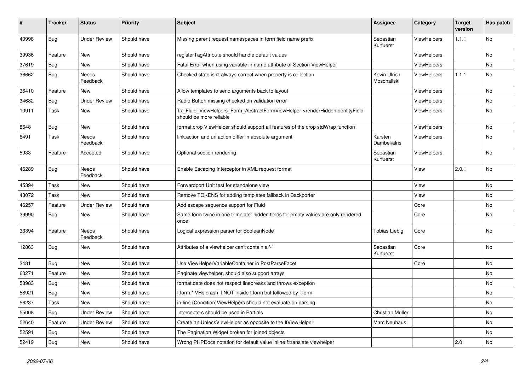| $\vert$ # | <b>Tracker</b> | <b>Status</b>            | <b>Priority</b> | <b>Subject</b>                                                                                         | Assignee                    | Category           | <b>Target</b><br>version | Has patch |
|-----------|----------------|--------------------------|-----------------|--------------------------------------------------------------------------------------------------------|-----------------------------|--------------------|--------------------------|-----------|
| 40998     | <b>Bug</b>     | <b>Under Review</b>      | Should have     | Missing parent request namespaces in form field name prefix                                            | Sebastian<br>Kurfuerst      | ViewHelpers        | 1.1.1                    | <b>No</b> |
| 39936     | Feature        | New                      | Should have     | registerTagAttribute should handle default values                                                      |                             | ViewHelpers        |                          | No        |
| 37619     | Bug            | New                      | Should have     | Fatal Error when using variable in name attribute of Section ViewHelper                                |                             | <b>ViewHelpers</b> |                          | No        |
| 36662     | <b>Bug</b>     | <b>Needs</b><br>Feedback | Should have     | Checked state isn't always correct when property is collection                                         | Kevin Ulrich<br>Moschallski | <b>ViewHelpers</b> | 1.1.1                    | <b>No</b> |
| 36410     | Feature        | New                      | Should have     | Allow templates to send arguments back to layout                                                       |                             | <b>ViewHelpers</b> |                          | No        |
| 34682     | Bug            | <b>Under Review</b>      | Should have     | Radio Button missing checked on validation error                                                       |                             | <b>ViewHelpers</b> |                          | <b>No</b> |
| 10911     | Task           | New                      | Should have     | Tx_Fluid_ViewHelpers_Form_AbstractFormViewHelper->renderHiddenIdentityField<br>should be more reliable |                             | <b>ViewHelpers</b> |                          | No        |
| 8648      | <b>Bug</b>     | New                      | Should have     | format.crop ViewHelper should support all features of the crop stdWrap function                        |                             | ViewHelpers        |                          | <b>No</b> |
| 8491      | Task           | Needs<br>Feedback        | Should have     | link.action and uri.action differ in absolute argument                                                 | Karsten<br>Dambekalns       | <b>ViewHelpers</b> |                          | No        |
| 5933      | Feature        | Accepted                 | Should have     | Optional section rendering                                                                             | Sebastian<br>Kurfuerst      | <b>ViewHelpers</b> |                          | No        |
| 46289     | Bug            | Needs<br>Feedback        | Should have     | Enable Escaping Interceptor in XML request format                                                      |                             | View               | 2.0.1                    | No        |
| 45394     | Task           | New                      | Should have     | Forwardport Unit test for standalone view                                                              |                             | View               |                          | <b>No</b> |
| 43072     | Task           | <b>New</b>               | Should have     | Remove TOKENS for adding templates fallback in Backporter                                              |                             | View               |                          | No        |
| 46257     | Feature        | <b>Under Review</b>      | Should have     | Add escape sequence support for Fluid                                                                  |                             | Core               |                          | No        |
| 39990     | Bug            | New                      | Should have     | Same form twice in one template: hidden fields for empty values are only rendered<br>once              |                             | Core               |                          | <b>No</b> |
| 33394     | Feature        | Needs<br>Feedback        | Should have     | Logical expression parser for BooleanNode                                                              | Tobias Liebig               | Core               |                          | No        |
| 12863     | <b>Bug</b>     | New                      | Should have     | Attributes of a viewhelper can't contain a '-'                                                         | Sebastian<br>Kurfuerst      | Core               |                          | No        |
| 3481      | Bug            | <b>New</b>               | Should have     | Use ViewHelperVariableContainer in PostParseFacet                                                      |                             | Core               |                          | <b>No</b> |
| 60271     | Feature        | New                      | Should have     | Paginate viewhelper, should also support arrays                                                        |                             |                    |                          | <b>No</b> |
| 58983     | <b>Bug</b>     | New                      | Should have     | format.date does not respect linebreaks and throws exception                                           |                             |                    |                          | <b>No</b> |
| 58921     | Bug            | New                      | Should have     | f:form.* VHs crash if NOT inside f:form but followed by f:form                                         |                             |                    |                          | <b>No</b> |
| 56237     | Task           | <b>New</b>               | Should have     | in-line (Condition) View Helpers should not evaluate on parsing                                        |                             |                    |                          | No        |
| 55008     | Bug            | <b>Under Review</b>      | Should have     | Interceptors should be used in Partials                                                                | Christian Müller            |                    |                          | No        |
| 52640     | Feature        | <b>Under Review</b>      | Should have     | Create an UnlessViewHelper as opposite to the IfViewHelper                                             | Marc Neuhaus                |                    |                          | <b>No</b> |
| 52591     | Bug            | <b>New</b>               | Should have     | The Pagination Widget broken for joined objects                                                        |                             |                    |                          | No        |
| 52419     | <b>Bug</b>     | New                      | Should have     | Wrong PHPDocs notation for default value inline f:translate viewhelper                                 |                             |                    | 2.0                      | No        |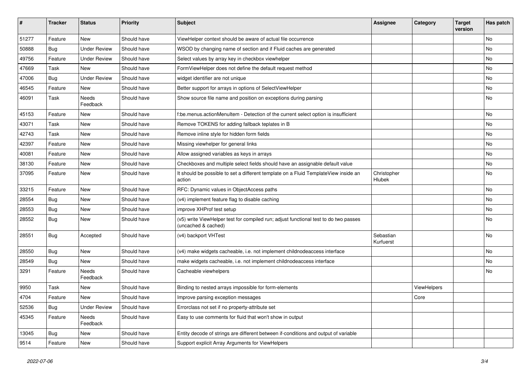| #     | <b>Tracker</b> | <b>Status</b>       | <b>Priority</b> | Subject                                                                                                     | Assignee               | Category    | <b>Target</b><br>version | Has patch |
|-------|----------------|---------------------|-----------------|-------------------------------------------------------------------------------------------------------------|------------------------|-------------|--------------------------|-----------|
| 51277 | Feature        | New                 | Should have     | ViewHelper context should be aware of actual file occurrence                                                |                        |             |                          | No        |
| 50888 | <b>Bug</b>     | <b>Under Review</b> | Should have     | WSOD by changing name of section and if Fluid caches are generated                                          |                        |             |                          | No        |
| 49756 | Feature        | <b>Under Review</b> | Should have     | Select values by array key in checkbox viewhelper                                                           |                        |             |                          | No        |
| 47669 | Task           | New                 | Should have     | FormViewHelper does not define the default request method                                                   |                        |             |                          | No        |
| 47006 | Bug            | <b>Under Review</b> | Should have     | widget identifier are not unique                                                                            |                        |             |                          | No        |
| 46545 | Feature        | New                 | Should have     | Better support for arrays in options of SelectViewHelper                                                    |                        |             |                          | No        |
| 46091 | Task           | Needs<br>Feedback   | Should have     | Show source file name and position on exceptions during parsing                                             |                        |             |                          | No        |
| 45153 | Feature        | New                 | Should have     | f:be.menus.actionMenuItem - Detection of the current select option is insufficient                          |                        |             |                          | No        |
| 43071 | Task           | New                 | Should have     | Remove TOKENS for adding fallback teplates in B                                                             |                        |             |                          | No        |
| 42743 | Task           | New                 | Should have     | Remove inline style for hidden form fields                                                                  |                        |             |                          | No        |
| 42397 | Feature        | New                 | Should have     | Missing viewhelper for general links                                                                        |                        |             |                          | No        |
| 40081 | Feature        | New                 | Should have     | Allow assigned variables as keys in arrays                                                                  |                        |             |                          | No        |
| 38130 | Feature        | New                 | Should have     | Checkboxes and multiple select fields should have an assignable default value                               |                        |             |                          | No        |
| 37095 | Feature        | New                 | Should have     | It should be possible to set a different template on a Fluid TemplateView inside an<br>action               | Christopher<br>Hlubek  |             |                          | No        |
| 33215 | Feature        | New                 | Should have     | RFC: Dynamic values in ObjectAccess paths                                                                   |                        |             |                          | No        |
| 28554 | Bug            | New                 | Should have     | (v4) implement feature flag to disable caching                                                              |                        |             |                          | No        |
| 28553 | Bug            | New                 | Should have     | improve XHProf test setup                                                                                   |                        |             |                          | No        |
| 28552 | Bug            | New                 | Should have     | (v5) write ViewHelper test for compiled run; adjust functional test to do two passes<br>(uncached & cached) |                        |             |                          | No        |
| 28551 | Bug            | Accepted            | Should have     | (v4) backport VHTest                                                                                        | Sebastian<br>Kurfuerst |             |                          | No        |
| 28550 | Bug            | New                 | Should have     | (v4) make widgets cacheable, i.e. not implement childnodeaccess interface                                   |                        |             |                          | No        |
| 28549 | Bug            | New                 | Should have     | make widgets cacheable, i.e. not implement childnodeaccess interface                                        |                        |             |                          | No        |
| 3291  | Feature        | Needs<br>Feedback   | Should have     | Cacheable viewhelpers                                                                                       |                        |             |                          | No        |
| 9950  | Task           | New                 | Should have     | Binding to nested arrays impossible for form-elements                                                       |                        | ViewHelpers |                          |           |
| 4704  | Feature        | New                 | Should have     | Improve parsing exception messages                                                                          |                        | Core        |                          |           |
| 52536 | Bug            | <b>Under Review</b> | Should have     | Errorclass not set if no property-attribute set                                                             |                        |             |                          |           |
| 45345 | Feature        | Needs<br>Feedback   | Should have     | Easy to use comments for fluid that won't show in output                                                    |                        |             |                          |           |
| 13045 | Bug            | New                 | Should have     | Entity decode of strings are different between if-conditions and output of variable                         |                        |             |                          |           |
| 9514  | Feature        | New                 | Should have     | Support explicit Array Arguments for ViewHelpers                                                            |                        |             |                          |           |